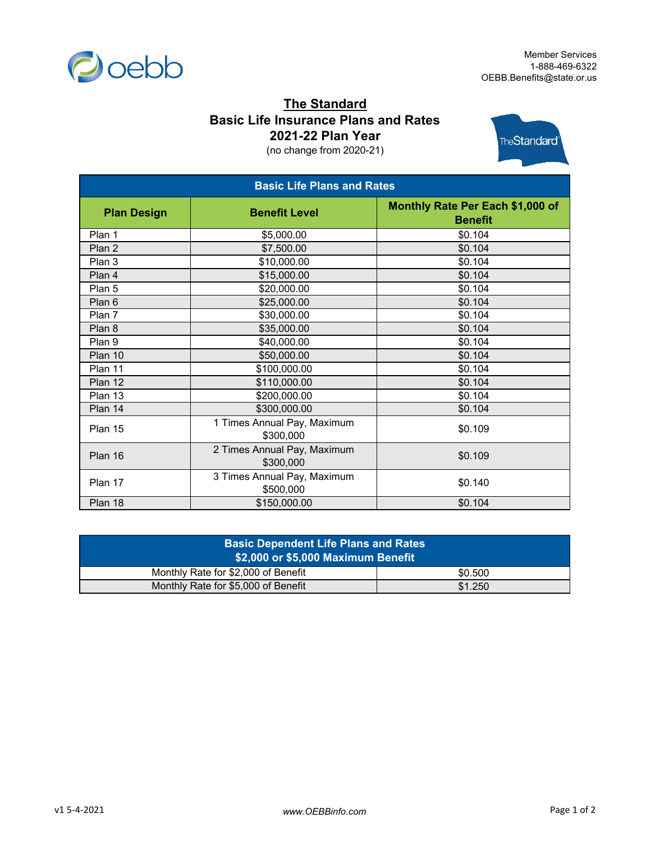

## **The Standard Basic Life Insurance Plans and Rates 2021-22 Plan Year**

(no change from 2020-21)



| <b>Basic Life Plans and Rates</b> |                                          |                                                    |  |
|-----------------------------------|------------------------------------------|----------------------------------------------------|--|
| <b>Plan Design</b>                | <b>Benefit Level</b>                     | Monthly Rate Per Each \$1,000 of<br><b>Benefit</b> |  |
| Plan 1                            | \$5,000.00                               | \$0.104                                            |  |
| Plan 2                            | \$7,500.00                               | \$0.104                                            |  |
| Plan 3                            | \$10,000.00                              | \$0.104                                            |  |
| Plan 4                            | \$15,000.00                              | \$0.104                                            |  |
| Plan 5                            | \$20,000.00                              | \$0.104                                            |  |
| Plan 6                            | \$25,000.00                              | \$0.104                                            |  |
| Plan 7                            | \$30,000.00                              | \$0.104                                            |  |
| Plan 8                            | \$35,000.00                              | \$0.104                                            |  |
| Plan 9                            | \$40,000.00                              | \$0.104                                            |  |
| Plan 10                           | \$50,000.00                              | \$0.104                                            |  |
| Plan 11                           | \$100,000.00                             | \$0.104                                            |  |
| Plan 12                           | \$110,000.00                             | \$0.104                                            |  |
| Plan 13                           | \$200,000.00                             | \$0.104                                            |  |
| Plan 14                           | \$300,000.00                             | \$0.104                                            |  |
| Plan 15                           | 1 Times Annual Pay, Maximum<br>\$300,000 | \$0.109                                            |  |
| Plan 16                           | 2 Times Annual Pay, Maximum<br>\$300,000 | \$0.109                                            |  |
| Plan 17                           | 3 Times Annual Pay, Maximum<br>\$500,000 | \$0.140                                            |  |
| Plan 18                           | \$150,000.00                             | \$0.104                                            |  |

| <b>Basic Dependent Life Plans and Rates</b><br><b>\$2,000 or \$5,000 Maximum Benefit</b> |         |  |  |  |
|------------------------------------------------------------------------------------------|---------|--|--|--|
| Monthly Rate for \$2,000 of Benefit                                                      | \$0.500 |  |  |  |
| Monthly Rate for \$5,000 of Benefit                                                      | \$1.250 |  |  |  |